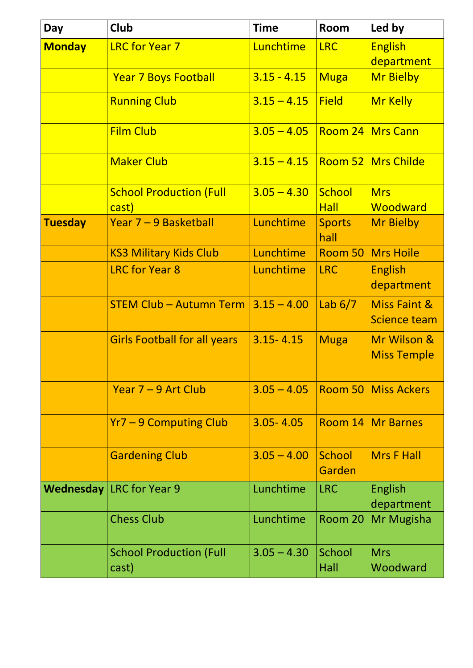| <b>Day</b>     | <b>Club</b>                             | <b>Time</b>                    | Room                  | Led by                                         |
|----------------|-----------------------------------------|--------------------------------|-----------------------|------------------------------------------------|
| <b>Monday</b>  | <b>LRC for Year 7</b>                   | Lunchtime                      | <b>LRC</b>            | <b>English</b>                                 |
|                |                                         |                                |                       | department                                     |
|                | <b>Year 7 Boys Football</b>             | $3.15 - 4.15$                  | <b>Muga</b>           | <b>Mr Bielby</b>                               |
|                | <b>Running Club</b>                     | $3.15 - 4.15$                  | <b>Field</b>          | <b>Mr Kelly</b>                                |
|                | <b>Film Club</b>                        | $3.05 - 4.05$ Room 24 Mrs Cann |                       |                                                |
|                | <b>Maker Club</b>                       | $3.15 - 4.15$                  |                       | <b>Room 52   Mrs Childe</b>                    |
|                | <b>School Production (Full</b>          | $3.05 - 4.30$                  | School                | <b>Mrs</b>                                     |
|                | cast)                                   |                                | <b>Hall</b>           | Woodward                                       |
| <b>Tuesday</b> | Year 7 – 9 Basketball                   | Lunchtime                      | <b>Sports</b><br>hall | <b>Mr Bielby</b>                               |
|                | <b>KS3 Military Kids Club</b>           | Lunchtime                      | Room 50               | Mrs Hoile                                      |
|                | <b>LRC</b> for Year 8                   | Lunchtime                      | <b>LRC</b>            | <b>English</b><br>department                   |
|                | <b>STEM Club - Autumn Term</b>          | $3.15 - 4.00$                  | Lab $6/7$             | <b>Miss Faint &amp;</b><br><b>Science team</b> |
|                | <b>Girls Football for all years</b>     | $3.15 - 4.15$                  | <b>Muga</b>           | Mr Wilson &<br><b>Miss Temple</b>              |
|                | Year 7 – 9 Art Club                     |                                |                       | $3.05 - 4.05$ Room 50 Miss Ackers              |
|                | <b>Yr7 - 9 Computing Club</b>           | $3.05 - 4.05$                  |                       | Room 14 Mr Barnes                              |
|                | <b>Gardening Club</b>                   | $3.05 - 4.00$                  | School<br>Garden      | <b>Mrs F Hall</b>                              |
|                | <b>Wednesday LRC</b> for Year 9         | Lunchtime                      | <b>LRC</b>            | English<br>department                          |
|                | <b>Chess Club</b>                       | Lunchtime                      |                       | Room 20   Mr Mugisha                           |
|                | <b>School Production (Full</b><br>cast) | $3.05 - 4.30$                  | School<br>Hall        | <b>Mrs</b><br>Woodward                         |